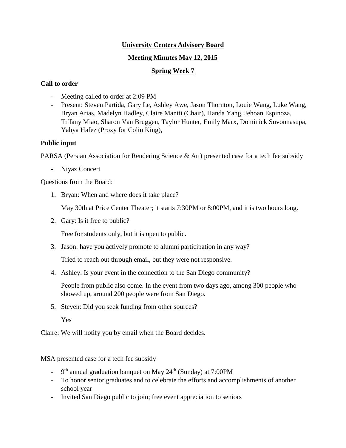## **University Centers Advisory Board**

## **Meeting Minutes May 12, 2015**

## **Spring Week 7**

## **Call to order**

- Meeting called to order at 2:09 PM
- Present: Steven Partida, Gary Le, Ashley Awe, Jason Thornton, Louie Wang, Luke Wang, Bryan Arias, Madelyn Hadley, Claire Maniti (Chair), Handa Yang, Jehoan Espinoza, Tiffany Miao, Sharon Van Bruggen, Taylor Hunter, Emily Marx, Dominick Suvonnasupa, Yahya Hafez (Proxy for Colin King),

# **Public input**

PARSA (Persian Association for Rendering Science & Art) presented case for a tech fee subsidy

- Niyaz Concert

Questions from the Board:

1. Bryan: When and where does it take place?

May 30th at Price Center Theater; it starts 7:30PM or 8:00PM, and it is two hours long.

2. Gary: Is it free to public?

Free for students only, but it is open to public.

3. Jason: have you actively promote to alumni participation in any way?

Tried to reach out through email, but they were not responsive.

4. Ashley: Is your event in the connection to the San Diego community?

People from public also come. In the event from two days ago, among 300 people who showed up, around 200 people were from San Diego.

5. Steven: Did you seek funding from other sources?

Yes

Claire: We will notify you by email when the Board decides.

MSA presented case for a tech fee subsidy

- $-$  9<sup>th</sup> annual graduation banquet on May 24<sup>th</sup> (Sunday) at 7:00PM
- To honor senior graduates and to celebrate the efforts and accomplishments of another school year
- Invited San Diego public to join; free event appreciation to seniors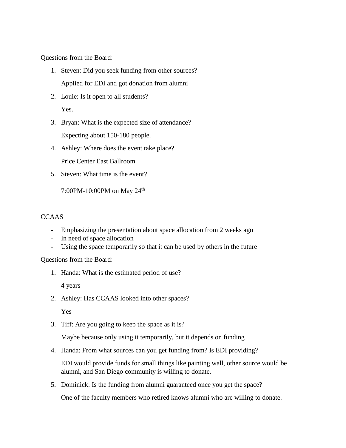Questions from the Board:

- 1. Steven: Did you seek funding from other sources? Applied for EDI and got donation from alumni
- 2. Louie: Is it open to all students? Yes.
- 3. Bryan: What is the expected size of attendance? Expecting about 150-180 people.
- 4. Ashley: Where does the event take place? Price Center East Ballroom
- 5. Steven: What time is the event?

7:00PM-10:00PM on May 24th

## CCAAS

- Emphasizing the presentation about space allocation from 2 weeks ago
- In need of space allocation
- Using the space temporarily so that it can be used by others in the future

Questions from the Board:

1. Handa: What is the estimated period of use?

4 years

2. Ashley: Has CCAAS looked into other spaces?

Yes

3. Tiff: Are you going to keep the space as it is?

Maybe because only using it temporarily, but it depends on funding

4. Handa: From what sources can you get funding from? Is EDI providing?

EDI would provide funds for small things like painting wall, other source would be alumni, and San Diego community is willing to donate.

5. Dominick: Is the funding from alumni guaranteed once you get the space?

One of the faculty members who retired knows alumni who are willing to donate.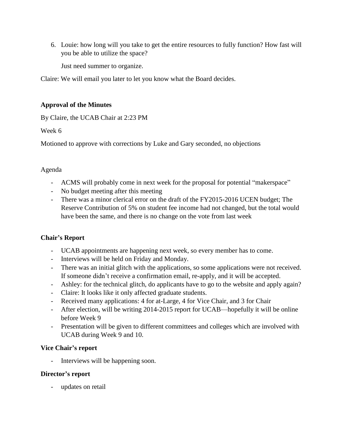6. Louie: how long will you take to get the entire resources to fully function? How fast will you be able to utilize the space?

Just need summer to organize.

Claire: We will email you later to let you know what the Board decides.

## **Approval of the Minutes**

By Claire, the UCAB Chair at 2:23 PM

Week 6

Motioned to approve with corrections by Luke and Gary seconded, no objections

# Agenda

- ACMS will probably come in next week for the proposal for potential "makerspace"
- No budget meeting after this meeting
- There was a minor clerical error on the draft of the FY2015-2016 UCEN budget; The Reserve Contribution of 5% on student fee income had not changed, but the total would have been the same, and there is no change on the vote from last week

# **Chair's Report**

- UCAB appointments are happening next week, so every member has to come.
- Interviews will be held on Friday and Monday.
- There was an initial glitch with the applications, so some applications were not received. If someone didn't receive a confirmation email, re-apply, and it will be accepted.
- Ashley: for the technical glitch, do applicants have to go to the website and apply again?
- Claire: It looks like it only affected graduate students.
- Received many applications: 4 for at-Large, 4 for Vice Chair, and 3 for Chair
- After election, will be writing 2014-2015 report for UCAB—hopefully it will be online before Week 9
- Presentation will be given to different committees and colleges which are involved with UCAB during Week 9 and 10.

## **Vice Chair's report**

Interviews will be happening soon.

## **Director's report**

updates on retail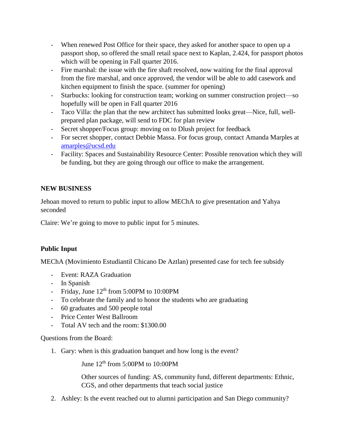- When renewed Post Office for their space, they asked for another space to open up a passport shop, so offered the small retail space next to Kaplan, 2.424, for passport photos which will be opening in Fall quarter 2016.
- Fire marshal: the issue with the fire shaft resolved, now waiting for the final approval from the fire marshal, and once approved, the vendor will be able to add casework and kitchen equipment to finish the space. (summer for opening)
- Starbucks: looking for construction team; working on summer construction project—so hopefully will be open in Fall quarter 2016
- Taco Villa: the plan that the new architect has submitted looks great—Nice, full, wellprepared plan package, will send to FDC for plan review
- Secret shopper/Focus group: moving on to Dlush project for feedback
- For secret shopper, contact Debbie Massa. For focus group, contact Amanda Marples at [amarples@ucsd.edu](mailto:amarples@ucsd.edu)
- Facility: Spaces and Sustainability Resource Center: Possible renovation which they will be funding, but they are going through our office to make the arrangement.

# **NEW BUSINESS**

Jehoan moved to return to public input to allow MEChA to give presentation and Yahya seconded

Claire: We're going to move to public input for 5 minutes.

# **Public Input**

MEChA (Movimiento Estudiantil Chicano De Aztlan) presented case for tech fee subsidy

- Event: RAZA Graduation
- In Spanish
- Friday, June  $12<sup>th</sup>$  from 5:00PM to 10:00PM
- To celebrate the family and to honor the students who are graduating
- 60 graduates and 500 people total
- Price Center West Ballroom
- Total AV tech and the room: \$1300.00

## Questions from the Board:

1. Gary: when is this graduation banquet and how long is the event?

June  $12<sup>th</sup>$  from 5:00PM to 10:00PM

Other sources of funding: AS, community fund, different departments: Ethnic, CGS, and other departments that teach social justice

2. Ashley: Is the event reached out to alumni participation and San Diego community?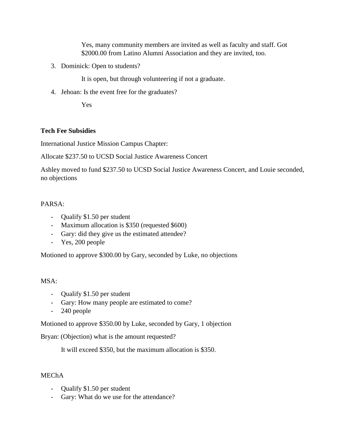Yes, many community members are invited as well as faculty and staff. Got \$2000.00 from Latino Alumni Association and they are invited, too.

3. Dominick: Open to students?

It is open, but through volunteering if not a graduate.

4. Jehoan: Is the event free for the graduates?

Yes

## **Tech Fee Subsidies**

International Justice Mission Campus Chapter:

Allocate \$237.50 to UCSD Social Justice Awareness Concert

Ashley moved to fund \$237.50 to UCSD Social Justice Awareness Concert, and Louie seconded, no objections

### PARSA:

- Qualify \$1.50 per student
- Maximum allocation is \$350 (requested \$600)
- Gary: did they give us the estimated attendee?
- Yes, 200 people

Motioned to approve \$300.00 by Gary, seconded by Luke, no objections

#### MSA:

- Qualify \$1.50 per student
- Gary: How many people are estimated to come?
- 240 people

Motioned to approve \$350.00 by Luke, seconded by Gary, 1 objection

Bryan: (Objection) what is the amount requested?

It will exceed \$350, but the maximum allocation is \$350.

#### MEChA

- Qualify \$1.50 per student
- Gary: What do we use for the attendance?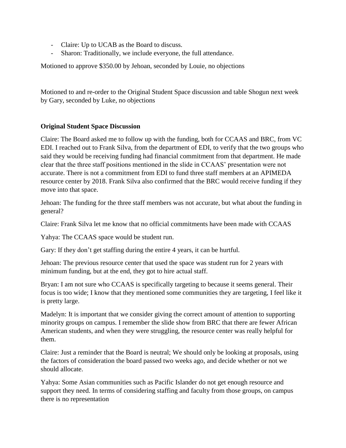- Claire: Up to UCAB as the Board to discuss.
- Sharon: Traditionally, we include everyone, the full attendance.

Motioned to approve \$350.00 by Jehoan, seconded by Louie, no objections

Motioned to and re-order to the Original Student Space discussion and table Shogun next week by Gary, seconded by Luke, no objections

## **Original Student Space Discussion**

Claire: The Board asked me to follow up with the funding, both for CCAAS and BRC, from VC EDI. I reached out to Frank Silva, from the department of EDI, to verify that the two groups who said they would be receiving funding had financial commitment from that department. He made clear that the three staff positions mentioned in the slide in CCAAS' presentation were not accurate. There is not a commitment from EDI to fund three staff members at an APIMEDA resource center by 2018. Frank Silva also confirmed that the BRC would receive funding if they move into that space.

Jehoan: The funding for the three staff members was not accurate, but what about the funding in general?

Claire: Frank Silva let me know that no official commitments have been made with CCAAS

Yahya: The CCAAS space would be student run.

Gary: If they don't get staffing during the entire 4 years, it can be hurtful.

Jehoan: The previous resource center that used the space was student run for 2 years with minimum funding, but at the end, they got to hire actual staff.

Bryan: I am not sure who CCAAS is specifically targeting to because it seems general. Their focus is too wide; I know that they mentioned some communities they are targeting, I feel like it is pretty large.

Madelyn: It is important that we consider giving the correct amount of attention to supporting minority groups on campus. I remember the slide show from BRC that there are fewer African American students, and when they were struggling, the resource center was really helpful for them.

Claire: Just a reminder that the Board is neutral; We should only be looking at proposals, using the factors of consideration the board passed two weeks ago, and decide whether or not we should allocate.

Yahya: Some Asian communities such as Pacific Islander do not get enough resource and support they need. In terms of considering staffing and faculty from those groups, on campus there is no representation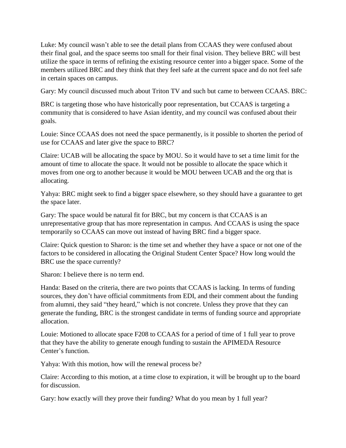Luke: My council wasn't able to see the detail plans from CCAAS they were confused about their final goal, and the space seems too small for their final vision. They believe BRC will best utilize the space in terms of refining the existing resource center into a bigger space. Some of the members utilized BRC and they think that they feel safe at the current space and do not feel safe in certain spaces on campus.

Gary: My council discussed much about Triton TV and such but came to between CCAAS. BRC:

BRC is targeting those who have historically poor representation, but CCAAS is targeting a community that is considered to have Asian identity, and my council was confused about their goals.

Louie: Since CCAAS does not need the space permanently, is it possible to shorten the period of use for CCAAS and later give the space to BRC?

Claire: UCAB will be allocating the space by MOU. So it would have to set a time limit for the amount of time to allocate the space. It would not be possible to allocate the space which it moves from one org to another because it would be MOU between UCAB and the org that is allocating.

Yahya: BRC might seek to find a bigger space elsewhere, so they should have a guarantee to get the space later.

Gary: The space would be natural fit for BRC, but my concern is that CCAAS is an unrepresentative group that has more representation in campus. And CCAAS is using the space temporarily so CCAAS can move out instead of having BRC find a bigger space.

Claire: Quick question to Sharon: is the time set and whether they have a space or not one of the factors to be considered in allocating the Original Student Center Space? How long would the BRC use the space currently?

Sharon: I believe there is no term end.

Handa: Based on the criteria, there are two points that CCAAS is lacking. In terms of funding sources, they don't have official commitments from EDI, and their comment about the funding from alumni, they said "they heard," which is not concrete. Unless they prove that they can generate the funding, BRC is the strongest candidate in terms of funding source and appropriate allocation.

Louie: Motioned to allocate space F208 to CCAAS for a period of time of 1 full year to prove that they have the ability to generate enough funding to sustain the APIMEDA Resource Center's function.

Yahya: With this motion, how will the renewal process be?

Claire: According to this motion, at a time close to expiration, it will be brought up to the board for discussion.

Gary: how exactly will they prove their funding? What do you mean by 1 full year?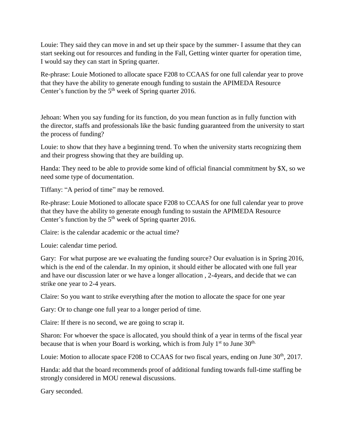Louie: They said they can move in and set up their space by the summer- I assume that they can start seeking out for resources and funding in the Fall, Getting winter quarter for operation time, I would say they can start in Spring quarter.

Re-phrase: Louie Motioned to allocate space F208 to CCAAS for one full calendar year to prove that they have the ability to generate enough funding to sustain the APIMEDA Resource Center's function by the  $5<sup>th</sup>$  week of Spring quarter 2016.

Jehoan: When you say funding for its function, do you mean function as in fully function with the director, staffs and professionals like the basic funding guaranteed from the university to start the process of funding?

Louie: to show that they have a beginning trend. To when the university starts recognizing them and their progress showing that they are building up.

Handa: They need to be able to provide some kind of official financial commitment by \$X, so we need some type of documentation.

Tiffany: "A period of time" may be removed.

Re-phrase: Louie Motioned to allocate space F208 to CCAAS for one full calendar year to prove that they have the ability to generate enough funding to sustain the APIMEDA Resource Center's function by the  $5<sup>th</sup>$  week of Spring quarter 2016.

Claire: is the calendar academic or the actual time?

Louie: calendar time period.

Gary: For what purpose are we evaluating the funding source? Our evaluation is in Spring 2016, which is the end of the calendar. In my opinion, it should either be allocated with one full year and have our discussion later or we have a longer allocation , 2-4years, and decide that we can strike one year to 2-4 years.

Claire: So you want to strike everything after the motion to allocate the space for one year

Gary: Or to change one full year to a longer period of time.

Claire: If there is no second, we are going to scrap it.

Sharon: For whoever the space is allocated, you should think of a year in terms of the fiscal year because that is when your Board is working, which is from July  $1<sup>st</sup>$  to June 30<sup>th.</sup>

Louie: Motion to allocate space F208 to CCAAS for two fiscal years, ending on June 30<sup>th</sup>, 2017.

Handa: add that the board recommends proof of additional funding towards full-time staffing be strongly considered in MOU renewal discussions.

Gary seconded.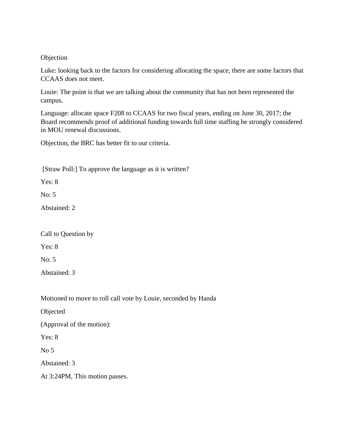#### Objection

Luke: looking back to the factors for considering allocating the space, there are some factors that CCAAS does not meet.

Louie: The point is that we are talking about the community that has not been represented the campus.

Language: allocate space F208 to CCAAS for two fiscal years, ending on June 30, 2017; the Board recommends proof of additional funding towards full time staffing be strongly considered in MOU renewal discussions.

Objection, the BRC has better fit to our criteria.

[Straw Poll:] To approve the language as it is written?

Yes: 8

No: 5

Abstained: 2

Call to Question by

Yes: 8

No: 5

Abstained: 3

Motioned to move to roll call vote by Louie, seconded by Handa

Objected

(Approval of the motion):

Yes: 8

 $No<sub>5</sub>$ 

Abstained: 3

At 3:24PM, This motion passes.